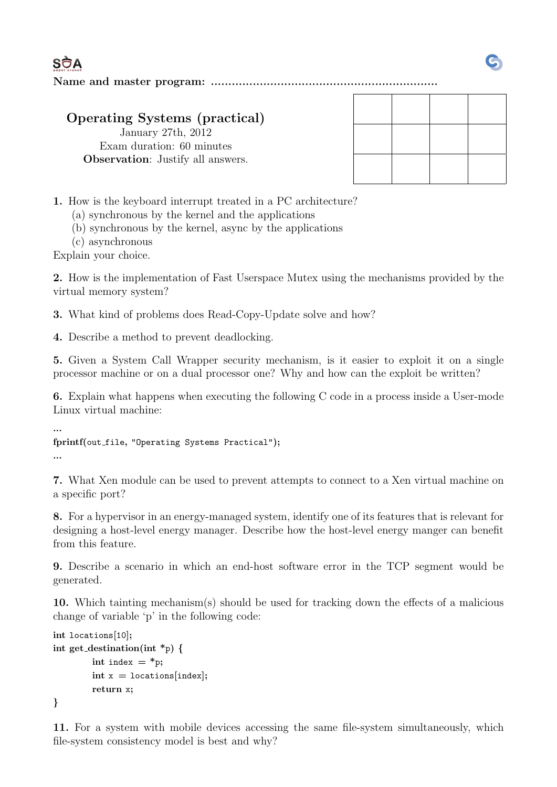**SÒA** 

Name and master program: .................................................................

## Operating Systems (practical)

January 27th, 2012 Exam duration: 60 minutes Observation: Justify all answers.

1. How is the keyboard interrupt treated in a PC architecture?

(a) synchronous by the kernel and the applications

(b) synchronous by the kernel, async by the applications

(c) asynchronous

Explain your choice.

2. How is the implementation of Fast Userspace Mutex using the mechanisms provided by the virtual memory system?

3. What kind of problems does Read-Copy-Update solve and how?

4. Describe a method to prevent deadlocking.

5. Given a System Call Wrapper security mechanism, is it easier to exploit it on a single processor machine or on a dual processor one? Why and how can the exploit be written?

6. Explain what happens when executing the following C code in a process inside a User-mode Linux virtual machine:

```
...
fprintf(out_file, "Operating Systems Practical");
...
```
7. What Xen module can be used to prevent attempts to connect to a Xen virtual machine on a specific port?

8. For a hypervisor in an energy-managed system, identify one of its features that is relevant for designing a host-level energy manager. Describe how the host-level energy manger can benefit from this feature.

9. Describe a scenario in which an end-host software error in the TCP segment would be generated.

10. Which tainting mechanism(s) should be used for tracking down the effects of a malicious change of variable 'p' in the following code:

```
int locations[10];
int get_destination(int *_p) {
         int index = *p;
         int x = locations [index];
         return x;
}
```
11. For a system with mobile devices accessing the same file-system simultaneously, which file-system consistency model is best and why?